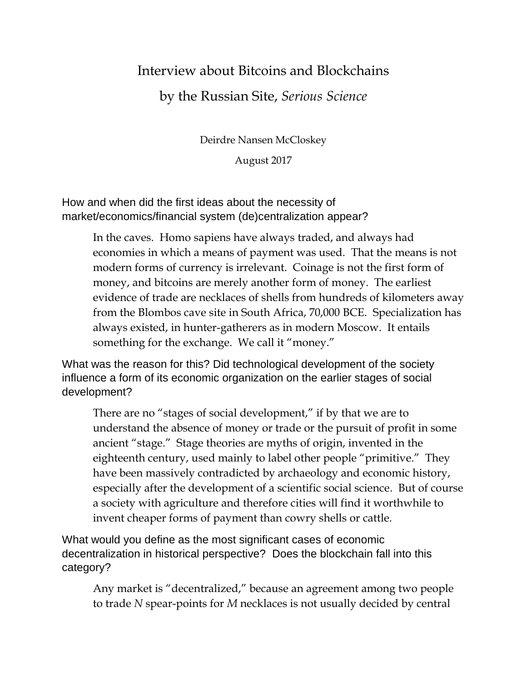## Interview about Bitcoins and Blockchains by the Russian Site, *Serious Science*

Deirdre Nansen McCloskey

August 2017

How and when did the first ideas about the necessity of market/economics/financial system (de)centralization appear?

> In the caves. Homo sapiens have always traded, and always had economies in which a means of payment was used. That the means is not modern forms of currency is irrelevant. Coinage is not the first form of money, and bitcoins are merely another form of money. The earliest evidence of trade are necklaces of shells from hundreds of kilometers away from the Blombos cave site in South Africa, 70,000 BCE. Specialization has always existed, in hunter-gatherers as in modern Moscow. It entails something for the exchange. We call it "money."

What was the reason for this? Did technological development of the society influence a form of its economic organization on the earlier stages of social development?

There are no "stages of social development," if by that we are to understand the absence of money or trade or the pursuit of profit in some ancient "stage." Stage theories are myths of origin, invented in the eighteenth century, used mainly to label other people "primitive." They have been massively contradicted by archaeology and economic history, especially after the development of a scientific social science. But of course a society with agriculture and therefore cities will find it worthwhile to invent cheaper forms of payment than cowry shells or cattle.

What would you define as the most significant cases of economic decentralization in historical perspective? Does the blockchain fall into this category?

Any market is "decentralized," because an agreement among two people to trade *N* spear-points for *M* necklaces is not usually decided by central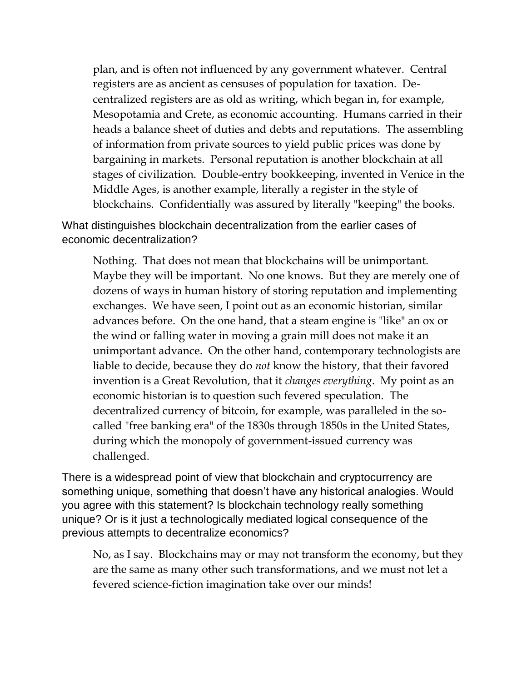plan, and is often not influenced by any government whatever. Central registers are as ancient as censuses of population for taxation. Decentralized registers are as old as writing, which began in, for example, Mesopotamia and Crete, as economic accounting. Humans carried in their heads a balance sheet of duties and debts and reputations. The assembling of information from private sources to yield public prices was done by bargaining in markets. Personal reputation is another blockchain at all stages of civilization. Double-entry bookkeeping, invented in Venice in the Middle Ages, is another example, literally a register in the style of blockchains. Confidentially was assured by literally "keeping" the books.

What distinguishes blockchain decentralization from the earlier cases of economic decentralization?

Nothing. That does not mean that blockchains will be unimportant. Maybe they will be important. No one knows. But they are merely one of dozens of ways in human history of storing reputation and implementing exchanges. We have seen, I point out as an economic historian, similar advances before. On the one hand, that a steam engine is "like" an ox or the wind or falling water in moving a grain mill does not make it an unimportant advance. On the other hand, contemporary technologists are liable to decide, because they do *not* know the history, that their favored invention is a Great Revolution, that it *changes everything*. My point as an economic historian is to question such fevered speculation. The decentralized currency of bitcoin, for example, was paralleled in the socalled "free banking era" of the 1830s through 1850s in the United States, during which the monopoly of government-issued currency was challenged.

There is a widespread point of view that blockchain and cryptocurrency are something unique, something that doesn't have any historical analogies. Would you agree with this statement? Is blockchain technology really something unique? Or is it just a technologically mediated logical consequence of the previous attempts to decentralize economics?

No, as I say. Blockchains may or may not transform the economy, but they are the same as many other such transformations, and we must not let a fevered science-fiction imagination take over our minds!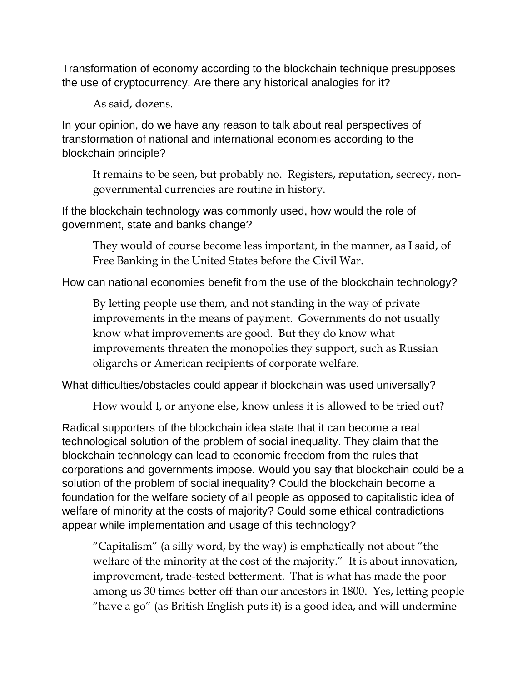Transformation of economy according to the blockchain technique presupposes the use of cryptocurrency. Are there any historical analogies for it?

As said, dozens.

In your opinion, do we have any reason to talk about real perspectives of transformation of national and international economies according to the blockchain principle?

It remains to be seen, but probably no. Registers, reputation, secrecy, nongovernmental currencies are routine in history.

If the blockchain technology was commonly used, how would the role of government, state and banks change?

They would of course become less important, in the manner, as I said, of Free Banking in the United States before the Civil War.

How can national economies benefit from the use of the blockchain technology?

By letting people use them, and not standing in the way of private improvements in the means of payment. Governments do not usually know what improvements are good. But they do know what improvements threaten the monopolies they support, such as Russian oligarchs or American recipients of corporate welfare.

What difficulties/obstacles could appear if blockchain was used universally?

How would I, or anyone else, know unless it is allowed to be tried out?

Radical supporters of the blockchain idea state that it can become a real technological solution of the problem of social inequality. They claim that the blockchain technology can lead to economic freedom from the rules that corporations and governments impose. Would you say that blockchain could be a solution of the problem of social inequality? Could the blockchain become a foundation for the welfare society of all people as opposed to capitalistic idea of welfare of minority at the costs of majority? Could some ethical contradictions appear while implementation and usage of this technology?

"Capitalism" (a silly word, by the way) is emphatically not about "the welfare of the minority at the cost of the majority." It is about innovation, improvement, trade-tested betterment. That is what has made the poor among us 30 times better off than our ancestors in 1800. Yes, letting people "have a go" (as British English puts it) is a good idea, and will undermine